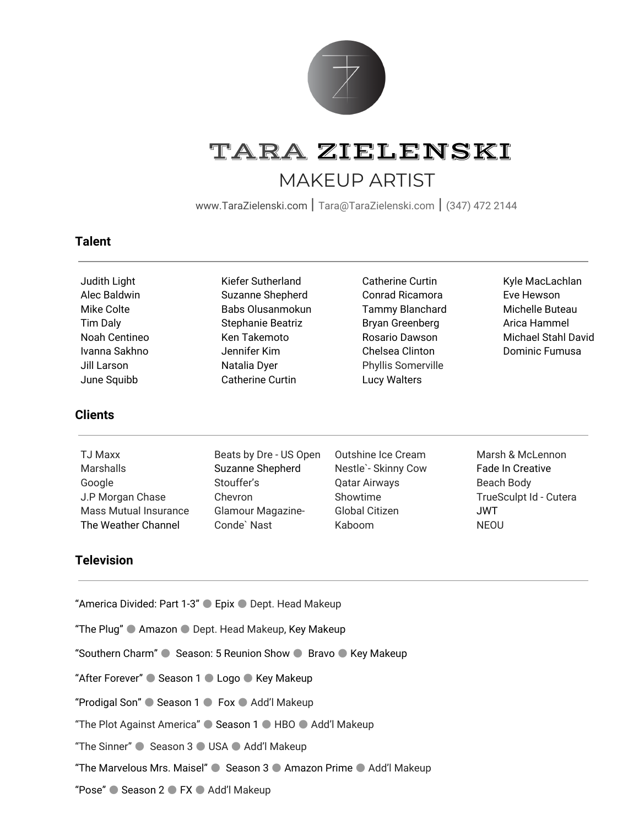

# TARA ZIELENSKI MAKEUP ARTIST

[www.TaraZielenski.com](http://www.tarazielenski.com/) | [Tara@TaraZielenski.com](mailto:Tara@TaraZielenski.com) | (347) <sup>472</sup> <sup>2144</sup>

Catherine Curtin Conrad Ricamora Tammy Blanchard Bryan Greenberg Rosario Dawson Chelsea Clinton Phyllis Somerville Lucy Walters

## **Talent**

Judith Light Alec Baldwin Mike Colte Tim Daly Noah Centineo Ivanna Sakhno Jill Larson June Squibb

## **Clients**

TJ Maxx **Marshalls** Google

J.P Morgan Chase Mass Mutual Insurance The Weather Channel

Beats by Dre - US Open Suzanne Shepherd Stouffer's Chevron Glamour Magazine-Conde` Nast

Kiefer Sutherland Suzanne Shepherd Babs Olusanmokun Stephanie Beatriz Ken Takemoto Jennifer Kim Natalia Dyer Catherine Curtin

- Outshine Ice Cream Nestle`- Skinny Cow Qatar Airways Showtime Global Citizen Kaboom
- Marsh & McLennon Fade In Creative Beach Body TrueSculpt Id - Cutera

JWT NEOU

Kyle MacLachlan Eve Hewson Michelle Buteau Arica Hammel Michael Stahl David Dominic Fumusa

## **Television**

"America Divided: Part 1-3" ● Epix ● Dept. Head Makeup

"The Plug" ● Amazon ● Dept. Head Makeup, Key Makeup

"Southern Charm" ● Season: 5 Reunion Show ● Bravo ● Key Makeup

"After Forever" ● Season 1 ● Logo ● Key Makeup

"Prodigal Son" ● Season 1 ● Fox ● Add'l Makeup

"The Plot Against America" ● Season 1 ● HBO ● Add'l Makeup

"The Sinner" ● Season 3 ● USA ● Add'l Makeup

"The Marvelous Mrs. Maisel" ● Season 3 ● Amazon Prime ● Add'l Makeup

"Pose" ● Season 2 ● FX ● Add'l Makeup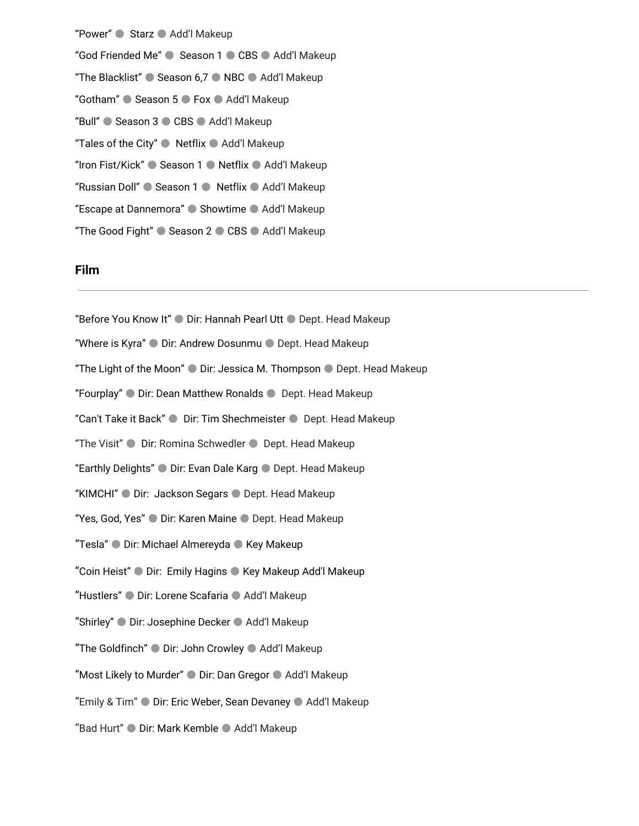"Power" ● Starz ● Add'l Makeup "God Friended Me" ● Season 1 ● CBS ● Add'l Makeup "The Blacklist" ● Season 6,7 ● NBC ● Add'l Makeup "Gotham" ● Season 5 ● Fox ● Add'l Makeup "Bull" ● Season 3 ● CBS ● Add'l Makeup "Tales of the City" ● Netflix ● Add'l Makeup "Iron Fist/Kick" ● Season 1 ● Netflix ● Add'l Makeup "Russian Doll" ● Season 1 ● Netflix ● Add'l Makeup "Escape at Dannemora" ● Showtime ● Add'l Makeup "The Good Fight" ● Season 2 ● CBS ● Add'l Makeup

#### **Film**

"Before You Know It" ● Dir: Hannah Pearl Utt ● Dept. Head Makeup "Where is Kyra" ● Dir: Andrew Dosunmu ● Dept. Head Makeup "The Light of the Moon" ● Dir: Jessica M. Thompson ● Dept. Head Makeup "Fourplay" ● Dir: Dean Matthew Ronalds ● Dept. Head Makeup "Can't Take it Back" ● Dir: Tim Shechmeister ● Dept. Head Makeup "The Visit" ● Dir: Romina Schwedler ● Dept. Head Makeup "Earthly Delights" ● Dir: Evan Dale Karg ● Dept. Head Makeup "KIMCHI" ● Dir: Jackson Segars ● Dept. Head Makeup "Yes, God, Yes" ● Dir: Karen Maine ● Dept. Head Makeup "Tesla" ● Dir: Michael Almereyda ● Key Makeup "Coin Heist" ● Dir: Emily Hagins ● Key Makeup Add'l Makeup "Hustlers" ● Dir: Lorene Scafaria ● Add'l Makeup "Shirley" ● Dir: Josephine Decker ● Add'l Makeup "The Goldfinch" ● Dir: John Crowley ● Add'l Makeup "Most Likely to Murder" ● Dir: Dan Gregor ● Add'l Makeup "Emily & Tim" ● Dir: Eric Weber, Sean Devaney ● Add'l Makeup "Bad Hurt" ● Dir: Mark Kemble ● Add'l Makeup